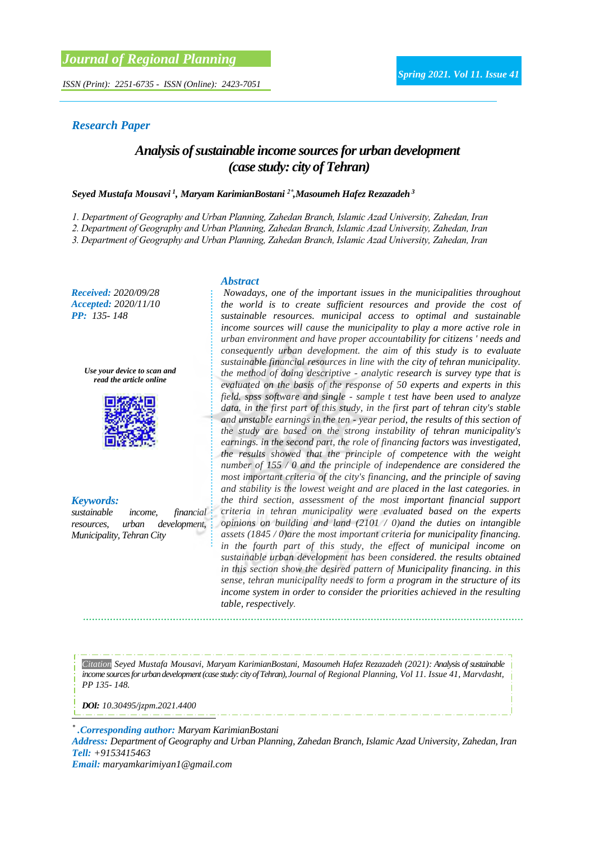*ISSN (Print): 2251-6735 - ISSN (Online): 2423-7051*

#### *Research Paper*

## *Analysis of sustainable income sources for urban development (case study: city of Tehran)*

#### *Seyed Mustafa Mousavi <sup>1</sup> , Maryam KarimianBostani 2\* ,Masoumeh Hafez Rezazadeh <sup>3</sup>*

*1. Department of Geography and Urban Planning, Zahedan Branch, Islamic Azad University, Zahedan, Iran*

*2. Department of Geography and Urban Planning, Zahedan Branch, Islamic Azad University, Zahedan, Iran*

*3. Department of Geography and Urban Planning, Zahedan Branch, Islamic Azad University, Zahedan, Iran*

*Received: 2020/09/28 Accepted: 2020/11/10 PP: 135- 148*

> *Use your device to scan and read the article online*



*Keywords:*

*sustainable income, financial resources, urban development, Municipality, Tehran City*

#### *Abstract*

*Nowadays, one of the important issues in the municipalities throughout the world is to create sufficient resources and provide the cost of sustainable resources. municipal access to optimal and sustainable income sources will cause the municipality to play a more active role in urban environment and have proper accountability for citizens ' needs and consequently urban development. the aim of this study is to evaluate sustainable financial resources in line with the city of tehran municipality. the method of doing descriptive - analytic research is survey type that is evaluated on the basis of the response of 50 experts and experts in this field. spss software and single - sample t test have been used to analyze data. in the first part of this study, in the first part of tehran city's stable and unstable earnings in the ten - year period, the results of this section of the study are based on the strong instability of tehran municipality's earnings. in the second part, the role of financing factors was investigated, the results showed that the principle of competence with the weight number of 155 / 0 and the principle of independence are considered the most important criteria of the city's financing, and the principle of saving and stability is the lowest weight and are placed in the last categories. in the third section, assessment of the most important financial support criteria in tehran municipality were evaluated based on the experts opinions on building and land (2101 / 0)and the duties on intangible assets (1845 / 0)are the most important criteria for municipality financing. in the fourth part of this study, the effect of municipal income on sustainable urban development has been considered. the results obtained in this section show the desired pattern of Municipality financing. in this sense, tehran municipality needs to form a program in the structure of its income system in order to consider the priorities achieved in the resulting table, respectively.*

*Citation Seyed Mustafa Mousavi, Maryam KarimianBostani, Masoumeh Hafez Rezazadeh (2021): Analysis of sustainable income sources for urban development (case study: city of Tehran), Journal of Regional Planning, Vol 11. Issue 41, Marvdasht, PP 135- 148.* 

*DOI: [10.30495/jzpm.2021.4400](https://dx.doi.org/10.30495/jzpm.2021.4400)*

*\* .Corresponding author: Maryam KarimianBostani*

*Address: Department of Geography and Urban Planning, Zahedan Branch, Islamic Azad University, Zahedan, Iran Tell: +9153415463*

*Email: maryamkarimiyan1@gmail.com*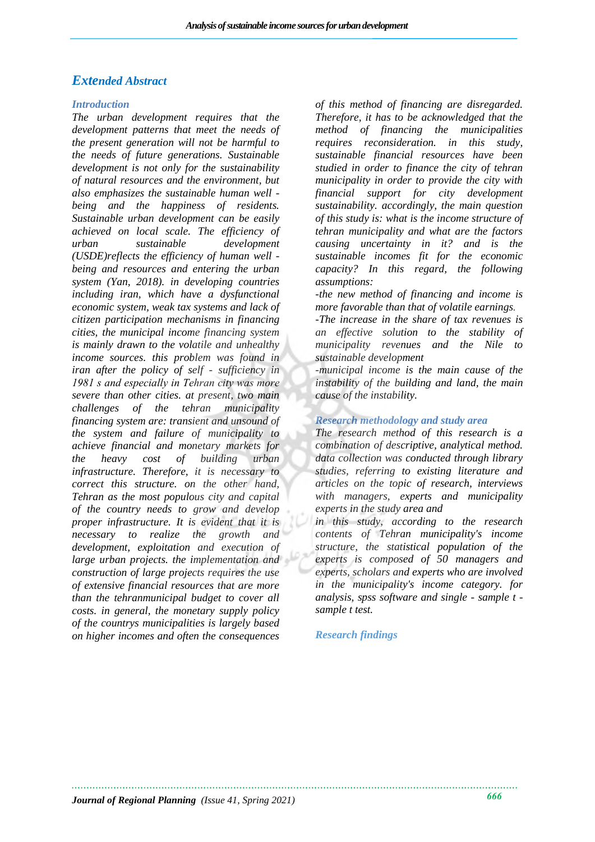### *Extended Abstract*

#### *Introduction*

*The urban development requires that the development patterns that meet the needs of the present generation will not be harmful to the needs of future generations. Sustainable development is not only for the sustainability of natural resources and the environment, but also emphasizes the sustainable human well being and the happiness of residents. Sustainable urban development can be easily achieved on local scale. The efficiency of urban sustainable development (USDE)reflects the efficiency of human well being and resources and entering the urban system (Yan, 2018). in developing countries including iran, which have a dysfunctional economic system, weak tax systems and lack of citizen participation mechanisms in financing cities, the municipal income financing system is mainly drawn to the volatile and unhealthy income sources. this problem was found in iran after the policy of self - sufficiency in 1981 s and especially in Tehran city was more severe than other cities. at present, two main challenges of the tehran municipality financing system are: transient and unsound of the system and failure of municipality to achieve financial and monetary markets for the heavy cost of building urban infrastructure. Therefore, it is necessary to correct this structure. on the other hand, Tehran as the most populous city and capital of the country needs to grow and develop proper infrastructure. It is evident that it is necessary to realize the growth and development, exploitation and execution of large urban projects. the implementation and construction of large projects requires the use of extensive financial resources that are more than the tehranmunicipal budget to cover all costs. in general, the monetary supply policy of the countrys municipalities is largely based on higher incomes and often the consequences* 

*of this method of financing are disregarded. Therefore, it has to be acknowledged that the method of financing the municipalities requires reconsideration. in this study, sustainable financial resources have been studied in order to finance the city of tehran municipality in order to provide the city with financial support for city development sustainability. accordingly, the main question of this study is: what is the income structure of tehran municipality and what are the factors causing uncertainty in it? and is the sustainable incomes fit for the economic capacity? In this regard, the following assumptions:*

*-the new method of financing and income is more favorable than that of volatile earnings.*

*-The increase in the share of tax revenues is an effective solution to the stability of municipality revenues and the Nile to sustainable development*

*-municipal income is the main cause of the instability of the building and land, the main cause of the instability.*

#### *Research methodology and study area*

*The research method of this research is a combination of descriptive, analytical method. data collection was conducted through library studies, referring to existing literature and articles on the topic of research, interviews with managers, experts and municipality experts in the study area and*

*in this study, according to the research contents of Tehran municipality's income structure, the statistical population of the experts is composed of 50 managers and experts, scholars and experts who are involved in the municipality's income category. for analysis, spss software and single - sample t sample t test.*

#### *Research findings*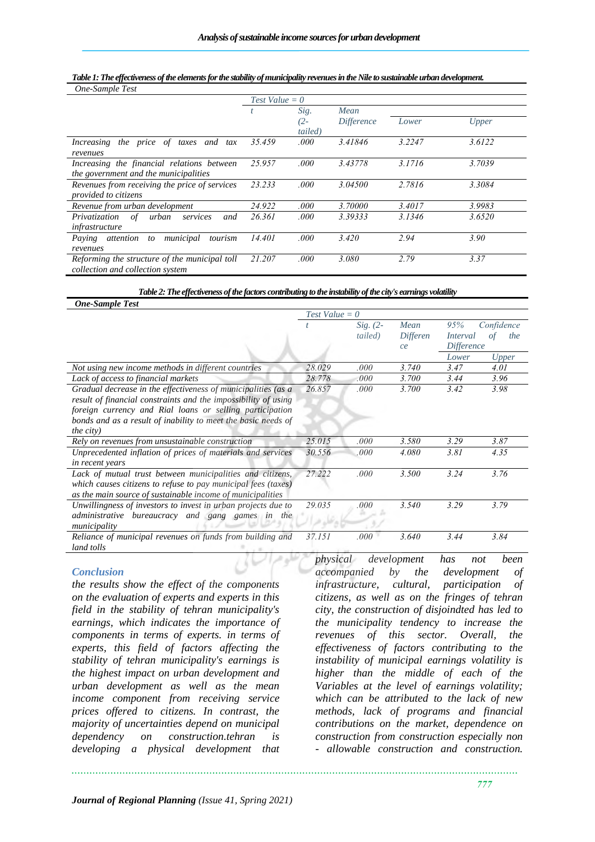#### *Table 1: The effectiveness of the elements for the stability of municipality revenues in the Nile to sustainable urban development.*

| $Test Value = 0$ |         |                   |        |        |  |
|------------------|---------|-------------------|--------|--------|--|
|                  | Sig.    | Mean              |        |        |  |
|                  | $(2 -$  | <i>Difference</i> | Lower  | Upper  |  |
|                  | tailed) |                   |        |        |  |
| 35.459           | .000    | 3.41846           | 3.2247 | 3.6122 |  |
| 25.957           | .000    | 3.43778           | 3.1716 | 3.7039 |  |
|                  |         |                   |        |        |  |
| 23.233           | .000    | 3.04500           | 2.7816 | 3.3084 |  |
|                  |         |                   |        |        |  |
| 24.922           | .000    | 3.70000           | 3.4017 | 3.9983 |  |
| 26.361           | .000    | 3.39333           | 3.1346 | 3.6520 |  |
|                  |         |                   |        |        |  |
| 14.401           | .000    | 3.420             | 2.94   | 3.90   |  |
|                  |         |                   |        |        |  |
| 21.207           | .000    | 3.080             | 2.79   | 3.37   |  |
|                  |         |                   |        |        |  |
|                  |         |                   |        |        |  |

*Table 2: The effectiveness of the factors contributing to the instability of the city's earnings volatility*

|                                                                                                                                                                                                                                                                                   | $Test Value = 0$ |                       |                        |                                                                 |              |
|-----------------------------------------------------------------------------------------------------------------------------------------------------------------------------------------------------------------------------------------------------------------------------------|------------------|-----------------------|------------------------|-----------------------------------------------------------------|--------------|
|                                                                                                                                                                                                                                                                                   |                  | $Sig. (2-$<br>tailed) | Mean<br>Differen<br>ce | 95%<br>Confidence<br>Interval<br>the<br>οt<br><i>Difference</i> |              |
|                                                                                                                                                                                                                                                                                   |                  |                       |                        | Lower                                                           | <b>Upper</b> |
| Not using new income methods in different countries                                                                                                                                                                                                                               | 28.029           | .000                  | 3.740                  | 3.47                                                            | 4.01         |
| Lack of access to financial markets                                                                                                                                                                                                                                               | 28.778           | $.000\,$              | <i>3.700</i>           | 3.44                                                            | 3.96         |
| Gradual decrease in the effectiveness of municipalities (as a<br>result of financial constraints and the impossibility of using<br>foreign currency and Rial loans or selling participation<br>bonds and as a result of inability to meet the basic needs of<br><i>the city</i> ) | 26.857           | .000                  | 3.700                  | 3.42                                                            | 3.98         |
| Rely on revenues from unsustainable construction                                                                                                                                                                                                                                  | 25.015           | .000                  | 3.580                  | 3.29                                                            | 3.87         |
| Unprecedented inflation of prices of materials and services<br>in recent years                                                                                                                                                                                                    | 30.556           | .000                  | 4.080                  | 3.81                                                            | 4.35         |
| Lack of mutual trust between municipalities and citizens,<br>which causes citizens to refuse to pay municipal fees (taxes)<br>as the main source of sustainable income of municipalities                                                                                          | 27.222           | .000                  | 3.500                  | 3.24                                                            | 3.76         |
| Unwillingness of investors to invest in urban projects due to<br>bureaucracy and gang games in the<br>administrative<br>municipality                                                                                                                                              | 29.035           | .000                  | 3.540                  | 3.29                                                            | 3.79         |
| Reliance of municipal revenues on funds from building and<br>land tolls                                                                                                                                                                                                           | 37.151           | .000                  | 3.640                  | 3.44                                                            | 3.84         |

#### *Conclusion*

*the results show the effect of the components on the evaluation of experts and experts in this field in the stability of tehran municipality's earnings, which indicates the importance of components in terms of experts. in terms of experts, this field of factors affecting the stability of tehran municipality's earnings is the highest impact on urban development and urban development as well as the mean income component from receiving service prices offered to citizens. In contrast, the majority of uncertainties depend on municipal dependency on construction.tehran is developing a physical development that* 

*physical development has not been accompanied by the development of infrastructure, cultural, participation of citizens, as well as on the fringes of tehran city, the construction of disjoindted has led to the municipality tendency to increase the revenues of this sector. Overall, the effectiveness of factors contributing to the instability of municipal earnings volatility is higher than the middle of each of the Variables at the level of earnings volatility; which can be attributed to the lack of new methods, lack of programs and financial contributions on the market, dependence on construction from construction especially non - allowable construction and construction.*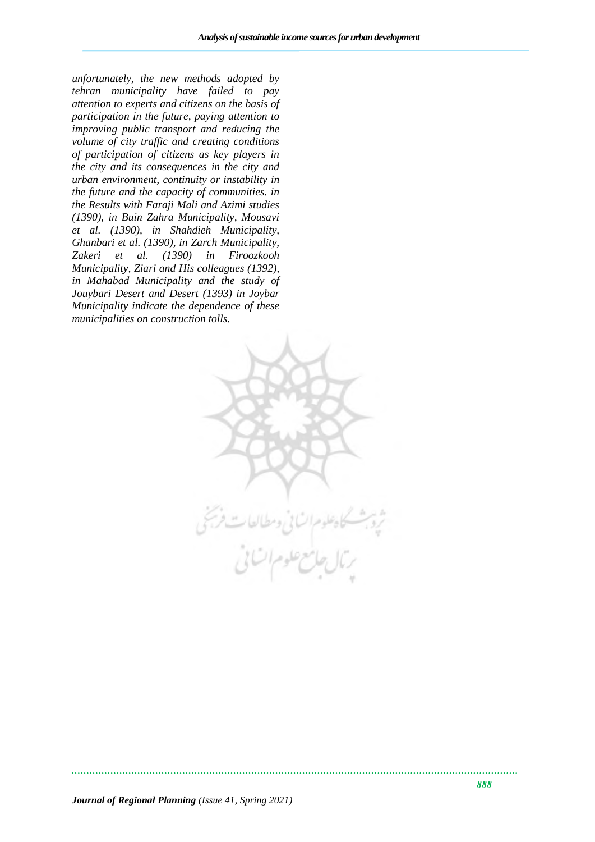*unfortunately, the new methods adopted by tehran municipality have failed to pay attention to experts and citizens on the basis of participation in the future, paying attention to improving public transport and reducing the volume of city traffic and creating conditions of participation of citizens as key players in the city and its consequences in the city and urban environment, continuity or instability in the future and the capacity of communities. in the Results with Faraji Mali and Azimi studies (1390), in Buin Zahra Municipality, Mousavi et al. (1390), in Shahdieh Municipality, Ghanbari et al. (1390), in Zarch Municipality, Zakeri et al. (1390) in Firoozkooh Municipality, Ziari and His colleagues (1392), in Mahabad Municipality and the study of Jouybari Desert and Desert (1393) in Joybar Municipality indicate the dependence of these municipalities on construction tolls.*

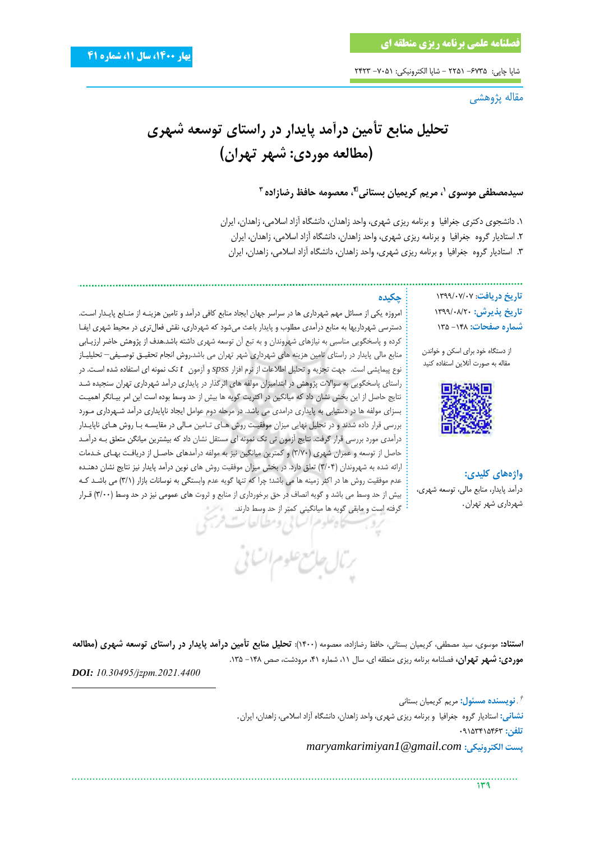شاپا چاپی: ۶۷۳۵– ۲۲۵۱ - شاپا الکترونیکی: ۷۰۵۱– ۲۴۲۳

مقاله پژوهشی

**تحلیل منابع تأمین درآمد پایدار در راستای توسعه شهری )مطالعه موردی: شهر تهران(**

**سیدمصطفی موسوی ، مریم کریمیان بستانی <sup>1</sup> 2† ، معصومه حافظ رضازاده 3**

.1 دانشجوی دکتری جغرافیا و برنامه ریزی شهری، واحد زاهدان، دانشگاه آزاد اسالمی، زاهدان، ایران .2 استادیار گروه جغرافیا و برنامه ریزی شهری، واحد زاهدان، دانشگاه آزاد اسالمی، زاهدان، ایران .3 استادیار گروه جغرافیا و برنامه ریزی شهری، واحد زاهدان، دانشگاه آزاد اسالمی، زاهدان، ایران

> **تاریخ دریافت**: 1399/07/07 **تاریخ پذیرش:** 1399/08/20 **شماره صفحات:** -148 135

از دستگاه خود برای اسکن و خواندن مقاله به صورت آنالین استفاده کنید



**واژههای کلیدی:** درآمد پایدار، منابع مالی، توسعه شهری، شهرداری شهر تهران*.*

**چکیده**

امروزه یکی از مسائل مهم شهرداری ها در سراسر جهان ایجاد منابع کافی درآمد و تامین هزینهه از منهابع پایهدار اسهت. دسترسی شهرداریها به منابع درآمدی مطلوب و پایدار باعث میشود که شهرداری، نقش فعالتری در محیط شهری ایفها کرده و پاسخگویی مناسبی به نیازهای شهروندان و به تبع آن توسعه شهری داشته باشد.هدف از پژوهش حاضر ارزیهابی منابع مالی پایدار در راستای تامین هزینه های شهرداری شهر تهران می باشد.روش انجام تحقیه توصهیفی*–* تحلیلیهاز نوع پیمایشی است. جهت تجزیه و تحلیل اطالعات از نرم افزار *spss* و آزمون *t* تک نمونه ای استفاده شده اسهت. در راستای پاسخگویی به سواالت پژوهش در ابتدامیزان مولفه های اثرگذار در پایداری درآمد شهرداری تهران سنجیده شهد نتایج حاصل از این بخش نشان داد که میانگین در اکثریت گویه ها بیش از حد وسط بوده است این امر بیهانگر اهمیهت بسزای مولفه ها در دستیابی به پایداری درامدی می باشد. در مرحله دوم عوامل ایجاد ناپایداری درآمد شههرداری مهورد بررسی قرار داده شدند و در تحلیل نهایی میزان موفقیت روش های تامین مالی در مقایسه با روش های ناپایدار درآمدی مورد بررسی قرار گرفت. نتایج آزمون تی تک نمونه ای مستقل نشان داد که بیشترین میانگن متعل بهه درآمهد حاصل از توسعه و عمران شهری (۳/۷۰) و کمترین میانگین نیز به مولفه درآمدهای حاصـل از دریافـت بهـای خـدمات ارائه شده به شهروندان (۳/۰۴) تعلق دارد. در بخش میزان موفقیت روش های نوین درآمد پایدار نیز نتایج نشان دهنـده عدم موفقیت روش ها در اکثر زمینه ها می باشد؛ چرا که تنها گویه عدم وابستگی به نوسانات بازار (۳/۱) می باشد ک بیش از حد وسط می باشد و گویه انصاف در حق برخورداری از منابع و ثروت های عمومی نیز در حد وسط (٣/٠٠) قـرار گرفته است و مابقی گویه ها میانگینی کمتر از حد وسط دارند.

**استناد:** موسوی، سید مصطفی، کریمیان بستانی، حافظ رضازاده، معصومه )1400(: **تحلیل منابع تأمین درآمد پایدار در راستای توسعه شهری )مطالعه موردی: شهر تهران،** فصلنامه برنامه ریزی منطقه ای، سال ،11 شماره ،41 مرودشت، صص -148 .135

یخاه علوم الساتی ومطیالعاب

يرتال جامع علوم اتنانى

*DOI: [10.30495/jzpm.2021.4400](https://dx.doi.org/10.30495/jzpm.2021.4400)*

. **نویسنده مسئول:** مریم کریمیان بستانی *†* **نشانی:** استادیار گروه جغرافیا و برنامه ریزی شهری، واحد زاهدان، دانشگاه آزاد اسالمی، زاهدان، ایران*.* **تلفن:** 09153415463 *maryamkarimiyan1@gmail.com* **:الکترونیکی پست**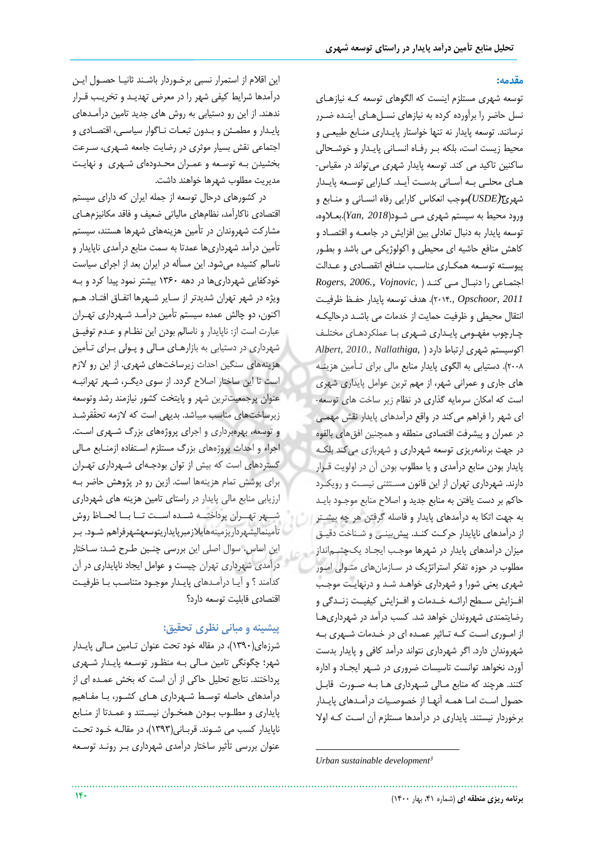#### **مقدمه:**

توسعه شهری مستلزم اینست که الگوهای توسعه کهه نیازههای نسل حاضر را برآورده کرده به نیازهای نسهلههای آینهده ضهرر نرسانند. توسعه پایدار نه تنها خواستار پایـداری منـابع طبیعـی و محیط زیست است، بلکه بـر رفـاه انسـانی پایـدار و خوشـحالی ساکنین تاکید می کند. توسعه پایدار شهری میتواند در مقیاس- هـای محلـی بـه آسـانی بدسـت آیـد. کـارایی توسـعه پایـدار شهری3*(USDE(*موجب انعکاس کارایی رفاه انسهانی و منهابع و ورود محیط به سیستم شهری مهی شهود)*2018 ,Yan*).بعهالوه، توسعه پایدار به دنبال تعادلی بین افزایش در جامعهه و اقتصهاد و کاهش منافع حاشیه ای محیطی و اکولوژیکی می باشد و بطهور پیوسته توسعه همکاری مناسب منافع اتقصادی و عـدالت اجتمهاعی را دنبهال مهی کنهد ) *,Vojnovic 2006., ,Rogers 2011 ,Opschoor* 2014*.,*). هدف توسعه پایدار حفهظ ررفیهت انتقال محیطی و ظرفیت حمایت از خدمات می باشد درحالیکه چارچوب مفهـومی پایـداری شـهری بـا عملکردهـای مختلـف اکوسیستم شهری ارتباط دارد ) *,Nallathiga 2010., ,Albert* ۲۰۰۸). دستیابی به الگوی پایدار منابع مالی برای تـأمین هزینـه های جاری و عمرانی شهر، از مهم ترین عوامل پایداری شهری است که امکان سرمایه گذاری در نظام زیر ساخت های توسعه-ای شهر را فراهم میکند در واقع درآمدهای پایدار نقش مهمهی در عمران و پیشرفت اقتصادی منطقه و همچنین افق های بالقوه در جهت برنامهریزی توسعه شهرداری و شهربازی میکند بلکهه پایدار بودن منابع درآمدی و یا مطلوب بودن آن در اولویت قهرار دارند. شهرداری تهران از این قانون مستثنی نیست و رویکرد حاکم بر دست یافتن به منابع جدید و اصالح منابع موجهود بایهد به جهت اتکا به درآمدهای پایدار و فاصله گرفتن هر چه بیشهتر از درآمدهای ناپایدار حرکت کنـد. پیش بینـی و شـناخت دقیـق میزان درآمدهای پایدار در شهرها موجهب ایجهاد یکچشهمانداز مطلوب در حوزه تفکر استراتژیک در سهازمانهای متهولی امهور شهری یعنی شورا و شهرداری خواهـد شـد و درنهایـت موجـب افوزایش سطح ارائه خـدمات و افــزایش کیفیــت زنــدگی و رضایتمندی شهروندان خواهد شد. کسب درآمد در شهرداریها از امـوری اسـت کـه تـاثیر عمـده ای در خـدمات شـهری بـه شهروندان دارد. اگر شهرداری نتواند درآمد کافی و پایدار بدست آورد، نخواهد توانست تاسیسات ضروری در شههر ایجهاد و اداره کنند. هرچند که منابع مـالی شـهرداری هـا بـه صـورت قابـل حصول است اما همه آنها از خصوصیات درآمدهای پایدار برخوردار نیستند. پایداری در درآمدها مستلزم آن است کـه اولا

این اقلام از استمرار نسبی برخـوردار باشـند ثانیــا حصــول ایــن درآمدها شرایط کیفی شهر را در معرض تهدیهد و تخریهب قهرار ندهند. از این رو دستیابی به روش های جدید تامین درآمـدهای پایدار و مطمئن و بدون تبعات نـاگوار سیاسهی، اقتصـادی و اجتماعی نقش بسیار موثری در رضایت جامعه شههری، سهرعت بخشیدن به توسعه و عمـران محـدودهای شـهری و نهایـت مدیریت مطلوب شهرها خواهند داشت.

 در کشورهای درحال توسعه از جمله ایران که دارای سیستم اقتصادی ناکارآمد، نظامهای مالیاتی ضعیف و فاقد مکانیزمهـای مشارکت شهروندان در تأمین هزینههای شهرها هستند، سیستم تأمین درآمد شهرداریها عمدتا به سمت منابع درآمدی ناپایدار و ناسالم کشیده میشود. این مسمله در ایران بعد از اجرای سیاست اودکفایی شهرداریها در دهه 1360 بیشتر نمود پیدا کرد و بهه ویژه در شهر تهران شدیدتر از سـایر شـهرها اتفـاق افتـاد. هـم اکنون، دو چالش عمده سیستم تأمین درآمـد شـهرداری تهـران عبارت است از: ناپایدار و ناسالم بودن این نظـام و عـدم توفیـق شهرداری در دستیابی به بازارهای مالی و پولی برای تأمین هزینههای سنگین احداث زیرساختهای شهری. از این رو لازم است تا این ساختار اصلاح گردد. از سوی دیگـر، شـهر تهرانبـه عنوان پرجمعیتترین شهر و پایتخت کشور نیازمند رشد وتوسعه زیرساختهای مناسب میباشد. بدیهی است که لازمه تحقّقرشـد و توسعه، بهرهبرداری و اجرای پروژههای بزرگ شههری اسهت. اجراء و احداث پروژههای بزرگ مستلزم استفاده ازمنابع مالی گستردهای است که بیش از توان بودجههای شههرداری تههران برای پوشش تمام هزینهها است. ازین رو در پژوهش حاضر بهه ارزیابی منابع مالی پایدار در راستای تامین هزینه های شهرداری شهر تهـران پرداختــه شــده اســت تــا بــا لحــاظ روش تممینمالیشهرداریزمینههایالزمبرپایداریتوسعهشهرفراهم شهود. بهر این اساس، سوال اصلی این بررسی چنین طرح شد: ساختار درآمدی شهرداری تهران چیست و عوامل ایجاد ناپایداری در آن کدامند ؟ و آیـا درآمـدهای پایـدار موجـود متناسـب بـا ظرفیـت اقتصادی قابلیت توسعه دارد؟

## **پیشینه و مبانی نظری تحقیق:**

شرزهای(۱۳۹۰)، در مقاله خود تحت عنوان تـامین مـالی پایـدار شهر؛ چگونگی تامین مـالی بـه منظـور توسـعه پایـدار شـهری پرداختند. نتایج تحلیل حاکی از آن است که بخش عمده ای از درآمدهای حاصله توسط شـهرداری هـای کشـور، بـا مفـاهیم پایداری و مطلـوب بـودن همخـوان نیسـتند و عمـدتا از منـابع ناپایدار کسب می شـوند. قربـانی(۱۳۹۳)، در مقالـه خـود تحـت عنوان بررسی تأثیر ساختار درآمدی شهرداری بـر رونـد توسـعه

 *Urban sustainable development<sup>3</sup>*

**<sup>140</sup> برنامه ریزی منطقه ای** )شماره ،41 بهار 1400(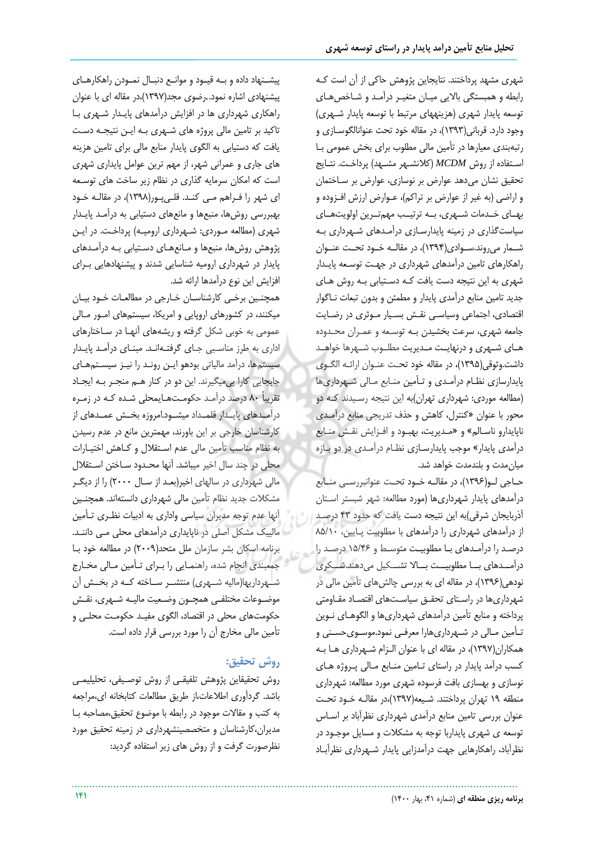شهری مشهد پردااتند. نتایجاین پژوهش حاکی از آن است کهه رابطه و همبستگی بالایی میبان متغییر درآمد و شباخص هبای توسعه پایدار شهری (هزینههای مرتبط با توسعه پایدار شهری) وجود دارد. قربانی(۱۳۹۳)، در مقاله خود تحت عنوانالگوســازی و رتبهبندی معیارها در تممین مالی مطلوب برای بخش عمومی بها اسـتفاده از روش *MCDM (كلانشـهر* مشـهد) پرداخـت. نتـايج تحقیق نشان میدهد عوارض بر نوسازی، عوارض بر سـاختمان و اراضی (به غیر از عوارض بر تراکم)، عـوارض ارزش افـزوده و بههای خلدمات شبهری، بله ترتیب مهم ترین اولویت های سیاستگذاری در زمینه پایدارسهازی درآمهدهای شههرداری بهه شــمار میروند.ســوادی(۱۳۹۴)، در مقالــه خــود تحــت عنــوان راهکارهای تامین درآمدهای شهرداری در جههت توسهعه پایهدار شهری به این نتیجه دست یافت کـه دسـتیابی بـه روش هـای جدید تامین منابع درآمدی پایدار و مطمئن و بدون تبعات ناگوار اقتصادی، اجتماعی وسیاسے نقـش بسـیار مـوثری در رضـایت جامعه شهري، سرعت بخشيدن بـه توسـعه و عمـران محـدوده هـای شـهری و درنهایـت مـدیریت مطلـوب شـهرها خواهـد داشت.وثوقی(۱۳۹۵)، در مقاله خود تحت عنـوان ارائـه الگـوی پایدارسازی نظام درآمدی و تـأمین منـابع مـالی شـهرداریها )مطالعه موردی: شهرداری تهران(به این نتیجه رسهیدند کهه دو محور با عنوان »کنترل، کاهش و حذف تدریجی منابع درآمهدی ناپایدارو ناسهالم« و »مهدیریت، بهبهود و افهزایش نقهش منهابع درآمدی پایدار» موجب پایدارسازی نظام درآمدی در دو بازه میان مدت و بلندمدت خواهد شد.

حـاجی لــو(۱۳۹۶)، در مقالــه خــود تحــت عنوانبررســی منــابع درآمدهای پایدار شهرداریها (مورد مطالعه: شهر شبستر استان آذربایجان شرقی(به این نتیجه دست یافت که حدود 43 درصهد از درآمدهای شهرداری را درآمدهای با مطلوبیت پهایین، 85/10 درصهد را درآمهدهای بها مطلوبیهت متوسهط و 15/46 درصهد را درآمــدهای بــا مطلوبیــت بــالا تشـــکیل می دهند.شـــکری نودهی(۱۳۹۶)، در مقاله ای به بررسی چالشهای تأمین مالی در شهرداریها در راستای تحقـق سیاسـتهای اقتصـاد مقـاومتی پرداخته و منابع تأمین درآمدهای شهرداریها و الگوهـای نـوین تأمین مـالی در شـهرداریهارا معرفـی نمود.موسـویحسـنی و همکاران)1397(، در مقاله ای با عنوان الهزام شههرداری هها بهه کسب درآمد پایدار در راستای تامین منابع مالی پروژه های نوسازی و بهسازی بافت فرسوده شهری مورد مطالعه: شهرداری منطقه ١٩ تهران پرداختند. شـيعه(١٣٩٧)،در مقالـه خـود تحـت عنوان بررسی تامین منابع درآمدی شهرداری نظرآباد بر اسـاس توسعه ی شهری پایداربا توجه به مشکالت و مسایل موجهود در نظرآباد، راهکارهایی جهت درآمدزایی پایدار شههرداری نظرآبهاد

پیشهنهاد داده و بهه قیهود و موانهع دنبهال نمهودن راهکارههای پیشنهادی اشاره نمود*.*.رضوی مجد)1397(،در مقاله ای با عنوان راهکاری شهرداری ها در افزایش درآمدهای پایهدار شههری بها تاکید بر تامین مالی پروژه های شههری بهه ایهن نتیجهه دسهت یافت که دستیابی به الگوی پایدار منابع مالی برای تامین هزینه های جاری و عمرانی شهر، از مهم ترین عوامل پایداری شهری است که امکان سرمایه گذاری در نظام زیر ساخت های توسـعه ای شهر را فـراهم مـی کنـد. قلـی یـور(۱۳۹۸)، در مقالـه خـود بهبررسی روشها، منبعها و مانعهای دستیابی به درآمهد پایهدار شهری (مطالعه مـوردی: شـهرداری ارومیـه) پرداخـت. در ایـن پژوهش روشها، منبعها و مانعهای دستیابی بـه درآمـدهای پایدار در شهرداری ارومیه شناسایی شدند و پیشنهادهایی بهرای افزایش این نوع درآمدها ارائه شد.

همچنین برخی کارشناسان خارجی در مطالعات خـود بیـان میکنند، در کشورهای اروپایی و امریکا، سیستمهای امهور مهالی عمومی به خوبی شکل گرفته و ریشههای آنهـا در سـاختارهای اداری به طرز مناسهبی جهای گرفتههانهد. مبنهای درآمهد پایهدار سیستمها، درآمد مالیاتی بودهو ایهن رونهد را نیهز سیسهتمههای جابجایی کارا پیمیگیرند. این دو در کنار ههم منجهر بهه ایجهاد تقریباً ۸۰ درصد درآمـد حکومـتهـایمحلی شـده کـه در زمـره درآمـدهای پایـدار قلمـداد میشـود.امروزه بخـش عمـدهای از کارشناسان خارجی بر این باورند، مهمترین مانع در عدم رسیدن به نظام مناسب تأمین مالی عدم استقلال و کـاهش اختیـارات محلی در چند سال اخیر میباشد. آنها محـدود سـاختن اسـتقلال مالی شهرداری در سالهای اخیر(بعـد از سـال ۲۰۰۰) را از دیگـر مشکلات جدید نظام تأمین مالی شهرداری دانستهاند. همچنین آنها عدم توجه مدیران سیاسی واداری به ادبیات نظـری تـأمین مالییک مشکل اصلی در ناپایداری درآمدهای محلی مهی داننهد. برنامه اسکان بشر سازمان ملل متحد(٢٠٠٩) در مطالعه خود با جمعبندی انجام شده، راهنمهایی را بهرای تهممین مهالی مخهارج شههرداریها(مالیه شــهری) منتشــر ســاخته کــه در بخــش آن موضهوعات مختلفهی همچهون وضهعیت مالیهه شههری، نقهش حکومتهای محلی در اقتصاد، الگوی مفیهد حکومهت محلهی و تممین مالی مخارج آن را مورد بررسی قرار داده است.

# **روش تحقیق:**

روش تحقیقاین پژوهش تلفیقهی از روش توصهیفی، تحلیلیمهی باشد. گردآوری اطلاعات،از طریق مطالعات کتابخانه ای،مراجعه به کتب و مقالات موجود در رابطه با موضوع تحقیق،مصاحبه با مدیران،کارشناسان و متخصصینشهرداری در زمینه تحقی مورد نظرصورت گرفت و از روش های زیر استفاده گردید: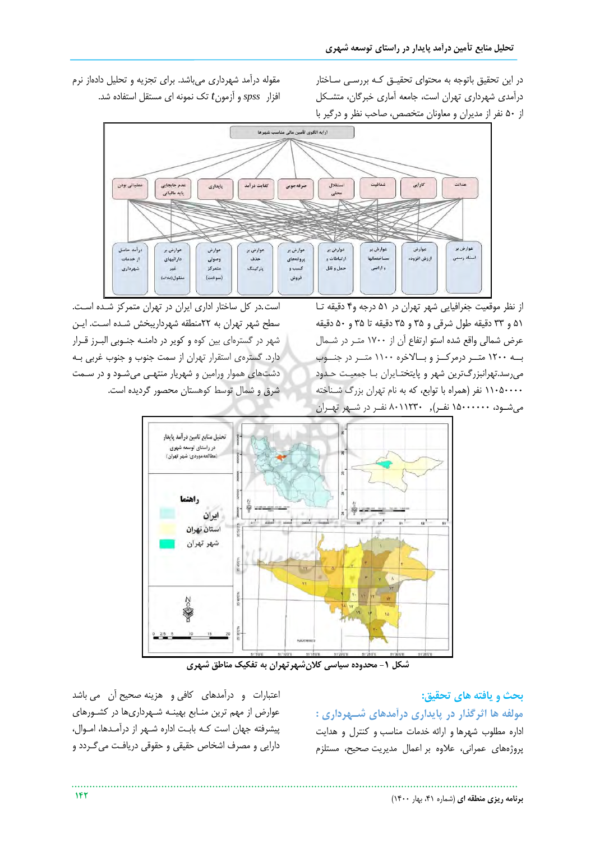در این تحقیق باتوجه به محتوای تحقیـق کـه بررسـی سـاختار درآمدی شهرداری تهران است، جامعه آماری خبرگان، متشکل از 50 نفر از مدیران و معاونان متخصص، صاحب نظر و درگیر با

مقوله درآمد شهرداری میباشد. برای تجزیه و تحلیل دادهاز نرم افزار *spss* و آزمون*t* تک نمونه ای مستقل استفاده شد.



از نظر موقعیت جغرافیایی شهر تهران در 51 درجه و4 دقیقه تها 51 و 33 دقیقه طول شرقی و 35 و 35 دقیقه تا 35 و 50 دقیقه عرض شمالی واقع شده استو ارتفاع آن از ۱۷۰۰ متـر در شـمال به ۱۲۰۰ متهر درمرکهز و بسالاخره ۱۱۰۰ متبر در جنسوب میرسد.تهرانبزرگترین شهر و پایتختایران با جمعیت حدود ۱۱۰۵۰۰۰۰ نفر (همراه با توابع، که به نام تهران بزرگ شـناخته میشهود، 15000000 نفهر(*,* 8011230 نفهر در شههر تهههران

است.در کل ساختار اداری ایران در تهران متمرکز شده است. سطح شهر تهران به ٢٢منطقه شهرداریبخش شـده اسـت. ایـن شهر در گسترهای بین کوه و کویر در دامنهه جنهوبی البهرز قهرار دارد. گسترهی استقرار تهران از سمت جنوب و جنوب غربی بهه دشتهای هموار ورامین و شهریار منتههی میشهود و در سهمت شرف و شمال توسط کوهستان محصور گردیده است.



**شکل -1 محدوده سیاسی کالنشهرتهران به تفکیک مناطق شهری** 

**بحث و یافته های تحقیق:**

**مولفه ها اثرگذار در پایداری درآمدهای شههرداری :**  اداره مطلوب شهرها و ارائه خدمات مناسب و کنترل و هدایت پروژههای عمرانی، عالوه بر اعمال مدیریت صحیا، مستلزم

اعتبارات و درآمدهای کافی و هزینه صحیح آن می باشد عوارض از مهم ترین منـابع بهینـه شـهرداریها در کشـورهای پیشرفته جهان است کهه بابهت اداره شههر از درآمهدها، امهوال، دارایی و مصرف اشخاص حقیقی و حقوقی دریافهت میگهردد و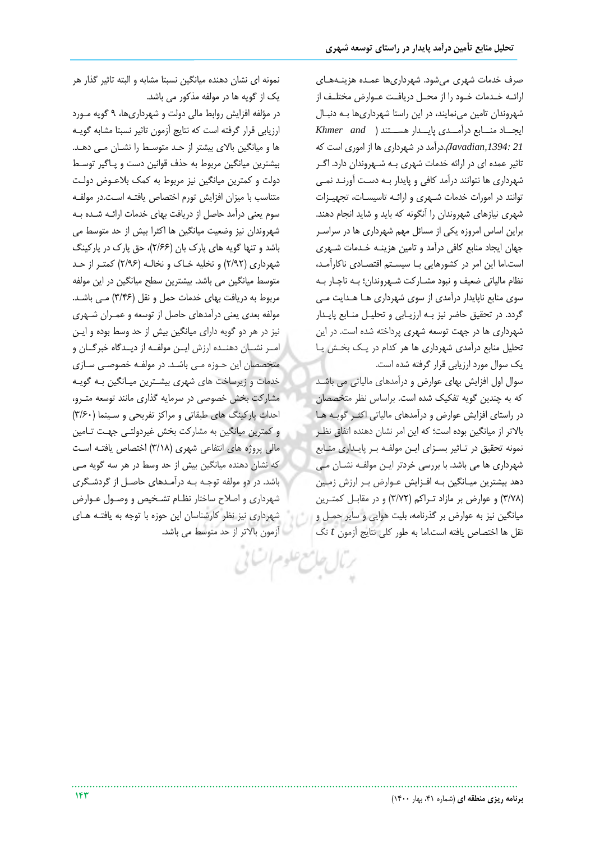صرف خدمات شهری می شود. شهرداریها عمـده هزینـههـای ارائه خـدمات خـود را از محـل دریافـت عـوارض مختلـف از شهروندان تامین مینمایند، در این راستا شهرداریها بهه دنبهال ایجههاد منههابع درآمههدی پایههدار هسههتند ) *and Khmer 21 ,1394:Javadian*).درآمد در شهرداری ها از اموری است که تاثیر عمده ای در ارائه خدمات شهری بـه شـهروندان دارد. اگـر شهرداری ها نتوانند درآمد کافی و پایدار بهه دسهت آورنهد نمهی توانند در امورات خدمات شهری و ارائـه تاسیسـات، تجهیـزات شهری نیازهای شهروندان را آنگونه که باید و شاید انجام دهند. براین اساس امروزه یکی از مسائل مهم شهرداری ها در سراسهر جهان ایجاد منابع کافی درآمد و تامین هزینـه خـدمات شـهری است.اما این امر در کشورهایی با سیستم اقتصادی ناکارآمد، نظام مالیاتی ضعیف و نبود مشـارکت شـهروندان؛ بـه ناچـار بـه سوی منابع ناپایدار درآمدی از سوی شهرداری هها ههدایت مهی گردد. در تحقیق حاضر نیز بـه ارزیـابی و تحلیـل منـابع پایـدار شهرداری ها در جهت توسعه شهری پرداخته شده است. در این تحلیل منابع درآمدی شهرداری ها هر کدام در یهک بخهش یها یک سوال مورد ارزیابی قرار گرفته شده است.

سوال اول افزایش بهای عوارض و درآمدهای مالیاتی می باشهد که به چندین گویه تفکیک شده است. براساس نظر متخصصان در راستای افزایش عوارض و درآمدهای مالیاتی اکثهر گویهه هها باالتر از میانگین بوده است؛ که این امر نشان دهنده اتفاف نظهر نمونه تحقیق در تاثیر بسـزای ایـن مولفـه بـر پایـداری منـابع شهرداری ها می باشد. با بررسی خردتر ایـن مولفـه نشـان مـی دهد بیشترین میـانگین بـه افـزایش عـوارض بـر ارزش زمـین (٣/٧٨) و عوارض بر مازاد تراکم (٣/٧٢) و در مقابل کمترین میانگین نیز به عوارض بر گذرنامه، بلیت هوایی و سایر حمهل و نقل ها ااتصاص یافته است.اما به طور کلی نتایج آزمون *t* تک

نمونه ای نشان دهنده میانگین نسبتا مشابه و البته تاثیر گذار هر یک از گویه ها در مولفه مذکور می باشد.

در مؤلفه افزایش روابط مالی دولت و شهرداریها، 9 گویه مهورد ارزیابی قرار گرفته است که نتایج آزمون تاثیر نسبتا مشابه گویهه ها و میانگین باالی بیشتر از حهد متوسهط را نشهان مهی دههد. بیشترین میانگین مربوط به حذف قوانین دست و پهاگیر توسهط دولت و کمترین میانگین نیز مربوط به کمک بالعهوض دولهت متناسب با میزان افزایش تورم اختصاص یافتـه اسـت.در مولفـه سوم یعنی درآمد حاصل از دریافت بهای خدمات ارائـه شـده بـه شهروندان نیز وضعیت میانگین ها اکثرا بیش از حد متوسط می باشد و تنها گویه های پارک بان (۲/۶۶)، حق پارک در پارکینگ شهرداری (٢/٩٢) و تخلیه خـاک و نخالـه (٢/٩۶) کمتـر از حـد متوسط میانگین می باشد. بیشترین سطح میانگین در این مولفه مربوط به دریافت بهای خدمات حمل و نقل (۳/۴۶) مـی باشـد. مولفه بعدی یعنی درآمدهای حاصل از توسعه و عمهران شههری نیز در هر دو گویه دارای میانگین بیش از حد وسط بوده و ایهن امـر نشـان دهنــده ارزش ایــن مولفــه از دیــدگاه خبرگــان و متخصصان این حهوزه مهی باشهد. در مولفهه اصوصهی سهازی خدمات و زیرساخت های شهری بیشـترین میـانگین بـه گویـه مشارکت بخش خصوصی در سرمایه گذاری مانند توسعه متبرو، احداث پارکینگ های طبقاتی و مراکز تفریحی و سـینما (۳/۶۰) و کمترین میانگین به مشارکت بخش غیردولتهی جههت تهامین مالی پروژه های انتفاعی شهری (٣/١٨) اختصاص یافته است که نشان دهنده میانگین بیش از حد وسط در هر سه گویه مهی باشد. در دو مولفه توجـه بـه درآمـدهای حاصـل از گردشـگری شهرداری و اصلاح ساختار نظام تشخیص و وصـول عـوارض شهرداری نیز نظر کارشناسان این حوزه با توجه به یافتهه ههای آزمون باالتر از حد متوسط می باشد.

فع علوم السائلي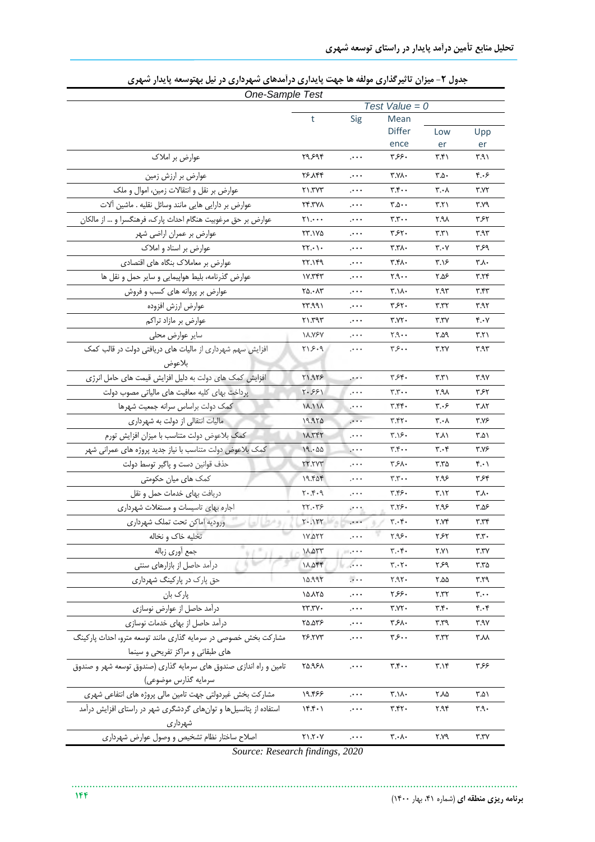| One-Sample Test                                                    |                                           |                                           |                                          |                               |                           |
|--------------------------------------------------------------------|-------------------------------------------|-------------------------------------------|------------------------------------------|-------------------------------|---------------------------|
|                                                                    |                                           |                                           | Test Value = $0$                         |                               |                           |
|                                                                    | t                                         | Sig                                       | Mean                                     |                               |                           |
|                                                                    |                                           |                                           | <b>Differ</b>                            | Low                           | Upp                       |
|                                                                    |                                           |                                           | ence                                     | er                            | er                        |
| عوارض بر املاک                                                     | ۲۹.۶۹۴                                    | $\mathcal{L} \leftrightarrow \mathcal{L}$ | ۳۶۶۰                                     | ۳.۴۱                          | ۳.۹۱                      |
| عوارض بر ارزش زمین                                                 | 26.844                                    | $\cdots$                                  | ۳.۷۸۰                                    | $r_{\Delta}$ .                | ۴.۰۶                      |
| عوارض بر نقل و انتقالات زمین، اموال و ملک                          | $Y\setminus Y$                            | $\cdots$                                  | ۳.۴۰۰                                    | ۲.۰۸                          | ۳.۷۲                      |
| عوارض بر دارایی هایی مانند وسائل نقلیه . ماشین آلات                | 24.TYX                                    | $\cdots$                                  | r.o.                                     | ۳.۲۱                          | ۳.۷۹                      |
| عوارض بر حق مرغوبیت هنگام احداث پارک، فرهنگسرا و … از مالکان       | $\gamma$                                  | $\cdots$                                  | r.r.                                     | ۲.۹۸                          | ۳۶۲                       |
| عوارض بر عمران اراضی شهر                                           | <u>77.170</u>                             | $\cdots$                                  | ۳۶۲۰                                     | ۳.۳۱                          | ۳.۹۳                      |
| عوارض بر اسناد و املاک                                             | $\forall \Upsilon . \cdot \Upsilon \cdot$ | $\cdots$                                  | ۳.۳۸۰                                    | ۳.۰۷                          | ۳۶۹                       |
| عوارض بر معاملاک بنگاه های اقتصادی                                 | ۲۲.۱۴۹                                    | $\cdots$                                  | ۳.۴۸۰                                    | ۳.۱۶                          | ۳.۸۰                      |
| عوارض گذرنامه، بليط هواپيمايي و ساير حمل و نقل ها                  | ۱۷.۳۴۳                                    | $\cdots$                                  | ۲۹۰۰                                     | ۵۶.۵۶                         | ۳.۲۴                      |
| عوارض بر پروانه های کسب و فروش                                     | ۲۵.۰۸۳                                    | $\cdots$                                  | ۳.۱۸۰                                    | ۳.۹۳                          | ۳.۴۳                      |
| عوارض ارزش افزوده                                                  | ۲۳.۹۹۱                                    | $\cdots$                                  | ۳۶۲۰                                     | ۳.۳۲                          | ۳.۹۲                      |
| عوارض بر مازاد تراكم                                               | ۳۱.۳۹۳                                    | $\cdots$                                  | ۳.۷۲۰                                    | ۳.۳۷                          | ۴.۰۷                      |
| سایر عوارض محلی                                                    | <b><i>M.YSY</i></b>                       | $\cdots$                                  | ۲.۹۰۰                                    | ۵۹.۲                          | ۳.۲۱                      |
| افزایش سهم شهرداری از مالیات های دریافتی دولت در قالب کمک          | ۲۱۶۰۹                                     | $1 + 1 +$                                 | ۳۶۰۰                                     | ۳.۲۷                          | ۳.۹۳                      |
| بلاعوض                                                             |                                           |                                           |                                          |                               |                           |
| افزایش کمک های دولت به دلیل افزایش قیمت های حامل انرژی             | 71.958                                    | $\cdot \cdot \cdot$                       | ۳۶۴.                                     | $\mathbf{r}.\mathbf{r}$       | ۳.۹۷                      |
| پرداخت بهای کلیه معافیت های مالیاتی مصوب دولت                      | ۲۰۶۶۱                                     | $\ddotsc$                                 | r.r.                                     | ۲.۹۸                          | ۳۶۲                       |
| كمك دولت براساس سرانه جمعيت شهرها                                  | <b>17.11Y</b>                             | $\cdot$                                   | ۳.۴۴۰                                    | ۳.۰۶                          | ۳۸۲                       |
| مالیات انتقالی از دولت به شهرداری                                  | 19.950                                    | $\ddotsc$                                 | ۳.۴۲۰                                    | ۳.۰۸                          | ۳.۷۶                      |
| كمك بلاعوض دولت متناسب با ميزان افزايش تورم                        | 11.145                                    | $1 + 1 +$                                 | ۳.۱۶۰                                    | ۲۸۱                           | ۵۸۱.۳                     |
| كمك بلاعوض دولت متناسب با نياز جديد پروژه هاى عمرانى شهر           | 19.00                                     | $\dots$                                   | $\mathbf{r}.\mathbf{r} \cdots$           | ۳.۰۴                          | ۳.۷۶                      |
| حذف قوانين دست و پاگير توسط دولت                                   | <b>٢٢.٢٧٣</b>                             | $\cdot$                                   | ۳۶۸۰                                     | ۳.۳۵                          | ۰۱.۴                      |
| کمک های میان حکومتی                                                | 19.505                                    | $+ + +$                                   | r.r.                                     | ۹۶.۲                          | ۳۶۴                       |
| دريافت بهاى خدمات حمل و نقل                                        | $Y \cdot . Y \cdot Y$                     | $\cdots$                                  | ۳.۴۶۰                                    | ۳.۱۲                          | ۳.۸۰                      |
| اجاره بهای تاسیسات و مستغلات شهرداری                               | ۲۲.۰۳۶                                    |                                           | ۳.۲۶۰                                    | ۲.۹۶                          | ۵۶.۳                      |
| وروديه اماكن تحت تملك شهردارى                                      | Y.1YY                                     | $\cdot \cdot \cdot$                       | ۳.۰۴۰                                    | ۲.۷۴                          | ۳.۳۴                      |
| تخلیه خاک و نخاله                                                  | Y.AYY                                     | $\dots$                                   | 7.95.                                    | ۲۶۲                           | $\mathbf{r}.\mathbf{r}$ . |
| جمع أورى زباله                                                     | ۱۸.۵۳۳                                    | $\cdots$                                  | ۳.۰۴۰                                    | ۲.۷۱                          | ۳.۳۷                      |
| درآمد حاصل از بازارهای سنتی                                        | 11.055                                    | $\cdots$                                  | ۳.۰۲۰                                    | ۶۶۹                           | ۳.۳۵                      |
| حق پارک در پارکینگ شهرداری                                         | 10.997                                    | $\dots$                                   | Y.91                                     | ۵۵.۲                          | ۳.۲۹                      |
| پارک بان                                                           | ۱۵.۸۲۵                                    | ولجبي                                     | ۲۶۶۰                                     | ۲.۳۲                          | $\mathbf{y} \cdot \cdot$  |
| درآمد حاصل از عوارض نوسازى                                         | YY. YY                                    | $\cdots$                                  | T.YY                                     | $\mathbf{r}.\mathbf{r}$       | ۴.۰۴                      |
| درآمد حاصل از بهای خدمات نوسازی                                    | ۲۵.۵۳۶                                    | $\cdots$                                  | ۳۶۸۰                                     | ۳.۳۹                          | ۳.۹۷                      |
| مشارکت بخش خصوصی در سرمایه گذاری مانند توسعه مترو، احداث یارکینگ   | <u>75.777</u>                             | $\cdots$                                  | ۳۶۰۰                                     | ۳.۳۲                          | ۳۸۸                       |
| های طبقاتی و مراکز تفریحی و سینما                                  |                                           |                                           |                                          |                               |                           |
| تامین و راه اندازی صندوق های سرمایه گذاری (صندوق توسعه شهر و صندوق | 80.951                                    | $\dots$                                   | $\mathbf{r}.\mathbf{r} \cdot \mathbf{r}$ | $\mathbf{r} \cdot \mathbf{r}$ | ۶۶۶                       |
| سرمايه گذارس موضوعي)                                               |                                           |                                           |                                          |                               |                           |
| مشارکت بخش غیردولتی جهت تامین مالی پروژه های انتفاعی شهری          | 19.455                                    | $\dots$                                   | ۳.۱۸۰                                    | ۲.۸۵                          | ۵۸۱.۳                     |
| استفاده از پتانسیلها و توانهای گردشگری شهر در راستای افزایش درآمد  | ۱۴.۴۰۱                                    | .                                         | ۳.۴۲۰                                    | ۲.۹۴                          | ۳۹۰                       |
| شهرداری                                                            |                                           |                                           |                                          |                               |                           |
| اصلاح ساختار نظام تشخیص و وصول عوارض شهرداری                       | $Y \setminus Y \cdot Y$                   | $\dots$                                   | ۳.۰۸۰                                    | ۲.۷۹                          | ۳.۳۷                      |
|                                                                    |                                           |                                           |                                          |                               |                           |

**جدول -2 میزان تاثیرگذاری مولفه ها جهت پایداری درآمدهای شهرداری در نیل بهتوسعه پایدار شهری**

*Source: Research findings, 2020*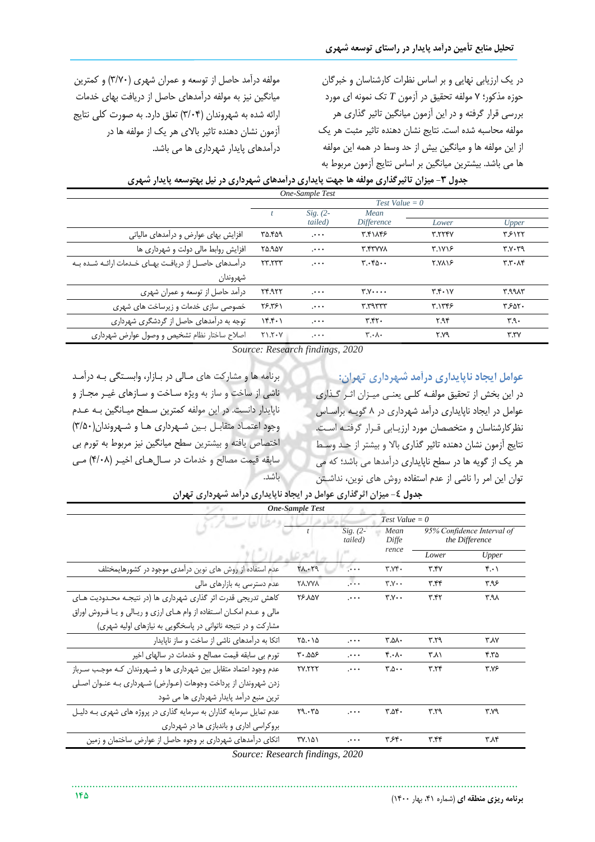در یک ارزیابی نهایی و بر اساس نظرات کارشناسان و خبرگان حوزه مذکور؛ 7 مولفه تحقی در آزمون *T* تک نمونه ای مورد بررسی قرار گرفته و در این آزمون میانگین تاثیر گذاری هر مولفه محاسبه شده است. نتایج نشان دهنده تاثیر مثبت هر یک از این مولفه ها و میانگین بیش از حد وسط در همه این مولفه ها می باشد. بیشترین میانگین بر اساس نتایج آزمون مربوط به

مولفه درآمد حاصل از توسعه و عمران شهری )3/70( و کمترین میانگین نیز به مولفه درآمدهای حاصل از دریافت بهای خدمات ارائه شده به شهروندان (۳/۰۴) تعلق دارد. به صورت کلی نتایج آزمون نشان دهنده تاثیر باالی هر یک از مولفه ها در درآمدهای پایدار شهرداری ها می باشد.

| One-Sample Test                                         |                  |            |                               |                |               |  |  |
|---------------------------------------------------------|------------------|------------|-------------------------------|----------------|---------------|--|--|
|                                                         | $Test Value = 0$ |            |                               |                |               |  |  |
|                                                         |                  | $Sig. (2-$ | Mean                          |                |               |  |  |
|                                                         |                  | tailed)    | <i>Difference</i>             | Lower          | Upper         |  |  |
| افزایش بهای عوارض و درآمدهای مالیاتی                    | ۳۵.۴۵۹           | $\cdots$   | ٣.۴١٨۴۶                       | <b>۳.٢٢۴٧</b>  | ۳۶۱۲۲         |  |  |
| افزایش روابط مالی دولت و شهرداری ها                     | <b>70.90V</b>    | $\cdots$   | <b>T.FTVVA</b>                | <b>٣.١٧١۶</b>  | r.v.rq        |  |  |
| درآمـدهای حاصـل از دریافـت بهـای خـدمات ارائـه شـده بـه | ٢٣.٢٣٣           |            | T.560.                        | <b>T.VA18</b>  | T.T.A         |  |  |
| شهروندان                                                |                  |            |                               |                |               |  |  |
| درآمد حاصل از توسعه و عمران شهری                        | 74.977           | $\cdots$   | $Y.V \cdots$                  | $Y. Y \cdot Y$ | <b>7.9917</b> |  |  |
| خصوصی سازی خدمات و زیرساخت های شهری                     | 19.591           | $\cdots$   | r.rarrr                       | ٣.١٣۴۶         | ۳۶۵۲.         |  |  |
| توجه به درآمدهای حاصل از گردشگری شهرداری                | Yf.f.            | $\cdots$   | T.T                           | ۲.۹۴           | 4.9.7         |  |  |
| اصلاح ساختار نظام تشخيص و وصول عوارض شهردارى            | $Y - 7.7 - Y$    | $+ + +$    | $\mathbf{r} \cdot \mathbf{v}$ | ۲.۷۹           | Y.7V          |  |  |

**جدول -3 میزان تاثیرگذاری مولفه ها جهت پایداری درآمدهای شهرداری در نیل بهتوسعه پایدار شهری**

*Source: Research findings, 2020*

**عوامل ایجاد ناپایداری درآمد شهرداری تهران:**

در این بخش از تحقیق مولفـه کلـی یعنـی میـزان اثـر گـذاری عوامل در ایجاد ناپایداری درآمد شهرداری در ۸ گویـه براسـاس نظرکارشناسان و متخصصان مورد ارزیـابی قـرار گرفتـه اسـت. نتایج آزمون نشان دهنده تاثیر گذاری باال و بیشتر از حهد وسهط هر یک از گویه ها در سطا ناپایداری درآمدها می باشد؛ که می توان این امر را ناشی از عدم استفاده روش های نوین، نداشهتن

برنامه ها و مشارکت های مالی در بازار، وابستگی به درآمد ناشی از ساخت و ساز به ویژه سـاخت و سـازهای غیـر مجـاز و ناپایدار دانست. در این مولفه کمترین سطح میـانگین بـه عـدم وجود اعتماد متقابل بین شهرداری ها و شهروندان(٣/٥٠) ااتصاص یافته و بیشترین سطا میانگین نیز مربوط به تورم بی سابقه قیمت مصالح و خدمات در سال هـای اخیـر (۴/۰۸) مـی باشد.

*One-Sample Test Test Value = 0 t Sig. (2- Mean 95% Confidence Interval of tailed) the Difference Diffe rence*  $(\rho_{\mathcal{B}})^{2}$ *Lower Upper* 4.01 3.47 3.740 .000 28.029 عدم استفاده از روش های نوین درآمدی موجود در کشورهایمختل 3.96 3.44 3.700 .000 28.778 عدم دسترسی به بازارهای مالی کاهش تدریجی قدرت اثر گذاری شهرداری ها )در نتیجهه محهدودیت ههای 26.87 ... 7.Y.. 7.47 ... 7.48 مالی و عدم امکان استفاده از وام های ارزی و ریالی و یا فروش اوراق مشارکت و در نتیجه ناتوانی در پاسخگویی به نیازهای اولیه شهری( 3.87 3.29 3.580 .000 25.015 اتکا به درآمدهای ناشی از ساات و ساز ناپایدار 4.35 3.81 4.080 .000 30.556 تورم بی سابقه قیمت مصالا و ادمات در سالهای اایر عدم وجود اعتماد متقابل بین شهرداری ها و شههروندان کهه موجهب سهرباز 27.222 .000 3.500 3.24 3.76 زدن شهروندان از پرداخت وجوهات (عـوارض) شـهرداری بـه عنـوان اصـلی ترین منبع درآمد پایدار شهرداری ها می شود عدم تمایل سرمایه گذاران به سرمایه گذاری در پروژه های شهری بـه دلیـل 29.035 .000 3.540 3.29 3.79 بروکراسی اداری و باندبازی ها در شهرداری 3.84 3.44 3.640 .000 37.151 اتکای درآمدهای شهرداری بر وجوه حاصل از عوارض سااتمان و زمین *Source: Research findings, 2020*

جدول **٤- میزان اثرگذاری عوامل در ایجاد ناپایداری در**آمد شهرداری تهران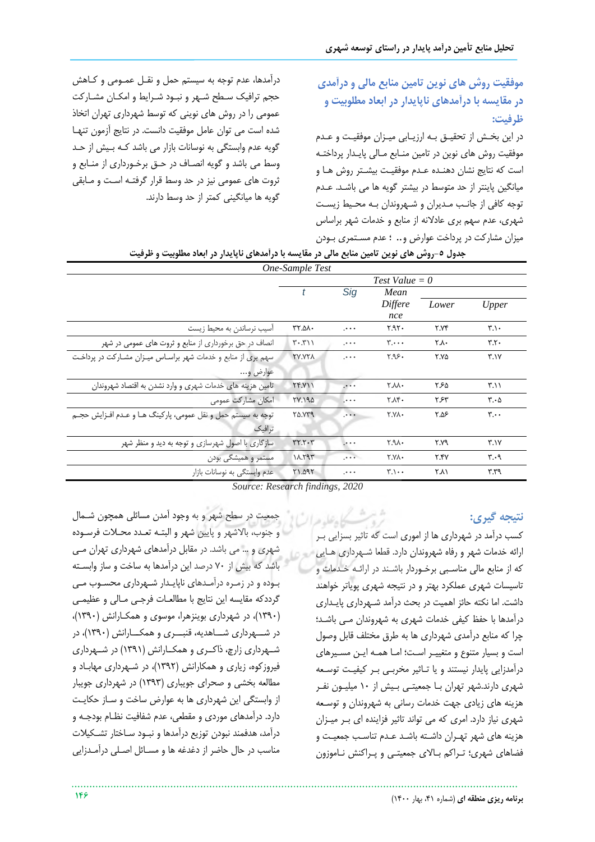**موفقیت روش های نوین تامین منابع مالی و درآمدی در مقایسه با درآمدهای ناپایدار در ابعاد مطلوبیت و ظرفیت:**

در این بخهش از تحقیه بهه ارزیهابی میهزان موفقیهت و عهدم موفقیت روش های نوین در تامین منـابع مـالی پایـدار پرداختـه است که نتایج نشان دهنـده عـدم موفقیـت بیشـتر روش هـا و میانگین پاینتر از حد متوسط در بیشتر گویه ها می باشهد. عهدم توجه کافی از جانب مدیران و شهروندان بـه محیط زیست شهری، عدم سهم بری عادلانه از منابع و خدمات شهر براساس میزان مشارکت در پرداات عوارض و*..* ؛ عدم مسهتمری بهودن

درآمدها، عدم توجه به سیستم حمل و نقهل عمهومی و کهاهش حجم ترافیک سـطح شـهر و نبـود شـرایط و امکـان مشـارکت عمومی را در روش های نوینی که توسط شهرداری تهران اتخاذ شده است می توان عامل موفقیت دانست. در نتایج آزمون تنهها گویه عدم وابستگی به نوسانات بازار می باشد کهه بهیش از حهد وسط می باشد و گویه انصـاف در حـق برخـورداری از منـابع و ثروت های عمومی نیز در حد وسط قرار گرفتـه اسـت و مـابقی گویه ها میانگینی کمتر از حد وسط دارند.

| جدول ٥-روش های نوین تامین منابع مالی در مقایسه با درآمدهای ناپایدار در ابعاد مطلوبیت و ظرفیت<br>One-Sample Test |                  |             |                                |       |                               |  |  |  |
|-----------------------------------------------------------------------------------------------------------------|------------------|-------------|--------------------------------|-------|-------------------------------|--|--|--|
|                                                                                                                 | Test Value = $0$ |             |                                |       |                               |  |  |  |
|                                                                                                                 | Sig<br>t         |             | Mean                           |       |                               |  |  |  |
|                                                                                                                 |                  |             | Differe<br>nce                 | Lower | Upper                         |  |  |  |
| اسیب نرساندن به محیط زیست                                                                                       | ۳۲.۵۸.           | .           | $7.97 -$                       | Y.YY  | $\mathbf{r} \cdot \mathbf{r}$ |  |  |  |
| انصاف در حق برخورداری از منابع و ثروت های عمومی در شهر                                                          | $T - T$          | $+ + +$     | $\mathbf{y} \cdot \cdot \cdot$ | ۲.۸۰  | Y.Y.                          |  |  |  |
| سهم بری از منابع و خدمات شهر براساس میـزان مشـارکت در پرداخـت                                                   | <b>TV.YTA</b>    | $+ + +$     | ۳.۹۶۰                          | ٢.٧۵  | ۳.۱۷                          |  |  |  |
| عوارض و…                                                                                                        |                  |             |                                |       |                               |  |  |  |
| تامین هزینه های خدمات شهری و وارد نشدن به اقتصاد شهروندان                                                       | YY.Y             | $\cdots$    | <b>T.AA.</b>                   | ۲۶۵   | $\mathsf{r} \cdot \mathsf{r}$ |  |  |  |
| امكان مشاركت عمومى                                                                                              | <b>781.190</b>   |             | ۲.۸۴.                          | ۳۶۳   | $\mathbf{r} \cdot \mathbf{r}$ |  |  |  |
| توجه به سیستم حمل و نقل عمومی، پارکینگ هـا و عـدم افـزایش حجـم                                                  | <b>70.779</b>    | $1 + 1 +$   | <b>T.VA.</b>                   | ۶۵۶.  | $\mathbf{y} \cdot \cdot$      |  |  |  |
| ترافیک                                                                                                          |                  |             |                                |       |                               |  |  |  |
| سازگاری با اصول شهرسازی و توجه به دید و منظر شهر                                                                | rr.7.7           | $\cdots$    | 2.9A.7                         | ۲.۷۹  | Y.1Y                          |  |  |  |
| مستمر و همیشگی بودن                                                                                             | 11.191           | $1 + 1 + 1$ | Y.Y                            | Y.YY  | $\mathbf{r} \cdot \mathbf{q}$ |  |  |  |
| عدم وابستگی به نوسانات بازار                                                                                    | <b>71.095</b>    | $+ + +$     | $\mathbf{y} \cdot \cdot \cdot$ | ۲.۸۱  | ۳.۳۹                          |  |  |  |

*Source: Research findings, 2020*

**نتیجه گیری:**

شوش كاهفاها کسب درآمد در شهرداری ها از اموری است که تاثیر بسزایی بهر ارائه خدمات شهر و رفاه شهروندان دارد. قطعا شـهرداری هـایی که از منابع مالی مناسبی برخـوردار باشـند در ارائـه خـدمات و تاسیسات شهری عملکرد بهتر و در نتیجه شهری پویاتر خواهند داشت. اما نکته حائز اهمیت در بحث درآمد شههرداری پایهداری درآمدها با حفظ کیفی خدمات شهری به شهروندان می باشد؛ چرا که منابع درآمدی شهرداری ها به طرق مختلف قابل وصول است و بسیار متنوع و متغییـر اسـت؛ امـا همـه ایـن مسـیرهای درآمدزایی پایدار نیستند و یا تـاثیر مخربـی بـر کیفیـت توسـعه شهری دارند.شهر تهران بها جمعیتهی بهیش از 10 میلیهون نفهر هزینه های زیادی جهت خدمات رسانی به شهروندان و توسعه شهری نیاز دارد. امری که می تواند تاثیر فزاینده ای بهر میهزان هزینه های شهر تهـران داشـته باشـد عـدم تناسـب جمعیـت و فضاهای شهری؛ تهراکم بهاالی جمعیتهی و پهراکنش نهاموزون

جمعیت در سطح شهر و به وجود آمدن مسائلی همچون شـمال و جنوب، بالاشهر و پایین شهر و البتـه تعـدد محـلات فرسـوده شهری و ... می باشد. در مقابل درآمدهای شهرداری تهران مهی باشد که بیش از ۷۰ درصد این درآمدها به ساخت و ساز وابسته بهوده و در زمهره درآمهدهای ناپایهدار شههرداری محسهوب مهی گرددکه مقایسه این نتایج با مطالعات فرجبی مـالی و عظیمـی )1390(، در شهرداری بوینزهرا، موسوی و همکهارانش )1390(، در شهرداری شهاهدیه، قنبهی و همکارانش (۱۳۹۰)، در شهرداری زارچ، ذاکری و همکارانش (۱۳۹۱) در شهرداری فیروزکوه، زیاری و همکارانش )1392(، در شههرداری مهابهاد و مطالعه بخشی و صحرای جویباری )1393( در شهرداری جویبار از وابستگی این شهرداری ها به عوارض ساخت و سـاز حکایـت دارد. درآمدهای موردی و مقطعی، عدم شفافیت نظـام بودجـه و درآمد، هدفمند نبودن توزیع درآمدها و نبـود سـاختار تشـکیلات مناسب در حال حاضر از دغدغه ها و مسـائل اصـلی درآمـدزایی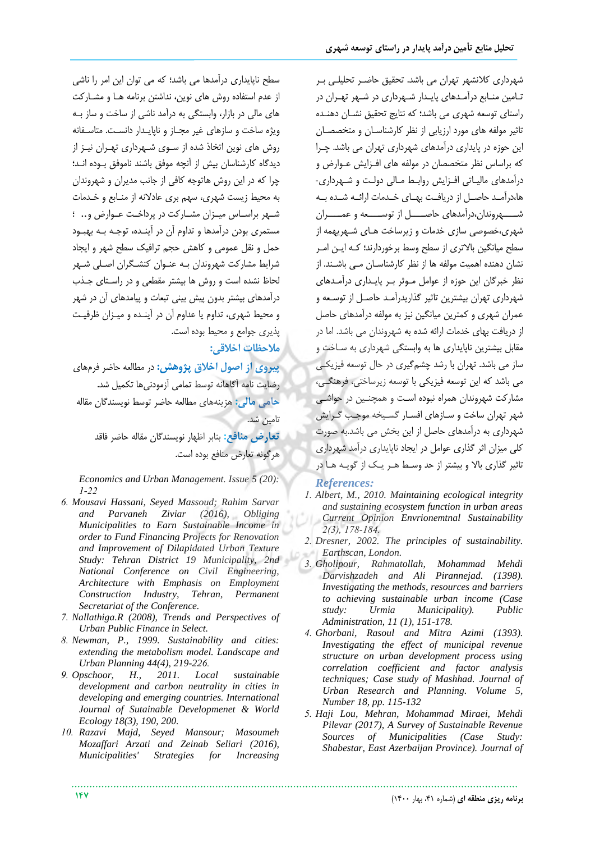شهرداری کلانشهر تهران می باشد. تحقیق حاضـر تحلیلـی بـر تـامین منـابع درآمـدهای پایـدار شـهرداری در شـهر تهـران در راستای توسعه شهری می باشد؛ که نتایج تحقیق نشـان دهنـده تاثیر مولفه های مورد ارزیابی از نظر کارشناسـان و متخصصـان این حوزه در پایداری درآمدهای شهرداری تهران می باشد. چهرا که براساس نظر متخصصان در مولفه های افهزایش عهوارض و درآمدهای مالیاتی افـزایش روابـط مـالی دولـت و شـهرداری-ها،درآمـد حاصـل از دریافـت بهـای خـدمات ارائـه شـده بـه شههروندان،درآمدهای حاصهها از توسههه و عمههران شهری،خصوصی سازی خدمات و زیرساخت هـای شـهریهمه از سطح میانگین بالاتری از سطح وسط برخوردارند؛ کـه ایــن امــر نشان دهنده اهمیت مولفه ها از نظر کارشناسهان مهی باشهند. از نظر خبرگان این حوزه از عوامل موثر بهر پایداری درآمدهای شهرداری تهران بیشترین تاثیر گذاریدرآمهد حاصهل از توسهعه و عمران شهری و کمترین میانگین نیز به مولفه درآمدهای حاصل از دریافت بهای خدمات ارائه شده به شهروندان می باشد. اما در مقابل بیشترین ناپایداری ها به وابستگی شهرداری به سـاخت و ساز می باشد. تهران با رشد چشمگیری در حال توسعه فیزیکهی می باشد که این توسعه فیزیکی با توسعه زیرساختی، فرهنگے، مشارکت شهروندان همراه نبوده اسهت و همچنهین در حواشهی شهر تهران ساخت و سـازهای افسـار گسـیخه موجـب گـرایش شهرداری به درآمدهای حاصل از این بخش می باشد.به صورت کلی میزان اثر گذاری عوامل در ایجاد ناپایداری درآمد شهرداری تاثیر گذاری باال و بیشتر از حد وسهط ههر یهک از گویهه هها در

#### *References:*

- *1. Albert, M., 2010. Maintaining ecological integrity and sustaining ecosystem function in urban areas Current Opinion Envrionemtnal Sustainability 2(3), 178-184.*
- *2. Dresner, 2002. The principles of sustainability. Earthscan, London.*
- *3. Gholipour, Rahmatollah, Mohammad Mehdi Darvishzadeh and Ali Pirannejad. (1398). Investigating the methods, resources and barriers to achieving sustainable urban income (Case study: Urmia Municipality). Public Administration, 11 (1), 151-178.*
- *4. Ghorbani, Rasoul and Mitra Azimi (1393). Investigating the effect of municipal revenue structure on urban development process using correlation coefficient and factor analysis techniques; Case study of Mashhad. Journal of Urban Research and Planning. Volume 5, Number 18, pp. 115-132*
- *5. Haji Lou, Mehran, Mohammad Miraei, Mehdi Pilevar (2017), A Survey of Sustainable Revenue Sources of Municipalities (Case Study: Shabestar, East Azerbaijan Province). Journal of*

سطا ناپایداری درآمدها می باشد؛ که می توان این امر را ناشی از عدم استفاده روش های نوین، نداشتن برنامه هها و مشهارکت های مالی در بازار، وابستگی به درآمد ناشی از ساخت و ساز بـه ویژه ساخت و سازهای غیر مجـاز و ناپایـدار دانسـت. متاسـفانه روش های نوین اتخاذ شده از سهوی شههرداری تههران نیهز از دیدگاه کارشناسان بیش از آنچه موفق باشند ناموفق بـوده انــد؛ چرا که در این روش هاتوجه کافی از جانب مدیران و شهروندان به محیط زیست شهری، سهم بری عادلانه از منـابع و خـدمات شهر براسـاس میـزان مشـارکت در پرداخـت عـوارض و... ؛ مستمری بودن درآمدها و تداوم آن در آینهده، توجهه بهه بهبهود حمل و نقل عمومی و کاهش حجم ترافیک سطا شهر و ایجاد شرایط مشارکت شهروندان بـه عنـوان کنشـگران اصـلی شـهر لحاظ نشده است و روش ها بیشتر مقطعی و در راسـتای جـذب درآمدهای بیشتر بدون پیش بینی تبعات و پیامدهای آن در شهر و محیط شهری، تداوم یا عداوم آن در آینهده و میهزان ررفیهت پذیری جوامع و محیط بوده است.

# **مالحظات اخالقی:**

**پیروی از اصول اخالق پژوهش:** در مطالعه حاضر فرمهای رضایت نامه آگاهانه توسط تمامی آزمودنیها تکمیل شد. **حامی مالی:** هزینههای مطالعه حاضر توسط نویسندگان مقاله تامین شد.

> <mark>تعارض منافع:</mark> بنابر اظهار نویسندگان مقاله حاضر فاقد هرگونه تعارض منافع بوده است.

*Economics and Urban Management. Issue 5 (20): 1-22*

- *6. Mousavi Hassani, Seyed Massoud; Rahim Sarvar and Parvaneh Ziviar (2016), Obliging Municipalities to Earn Sustainable Income in order to Fund Financing Projects for Renovation and Improvement of Dilapidated Urban Texture Study: Tehran District 19 Municipality, 2nd National Conference on Civil Engineering, Architecture with Emphasis on Employment Construction Industry, Tehran, Permanent Secretariat of the Conference.*
- *7. Nallathiga.R (2008), Trends and Perspectives of Urban Public Finance in Select.*
- *8. Newman, P., 1999. Sustainability and cities: extending the metabolism model. Landscape and Urban Planning 44(4), 219-226.*
- *9. Opschoor, H., 2011. Local sustainable development and carbon neutrality in cities in developing and emerging countries. International Journal of Sutainable Developmenet & World Ecology 18(3), 190, 200.*
- *10. Razavi Majd, Seyed Mansour; Masoumeh Mozaffari Arzati and Zeinab Seliari (2016), Municipalities' Strategies for Increasing*

**147 برنامه ریزی منطقه ای** )شماره ،41 بهار 1400(